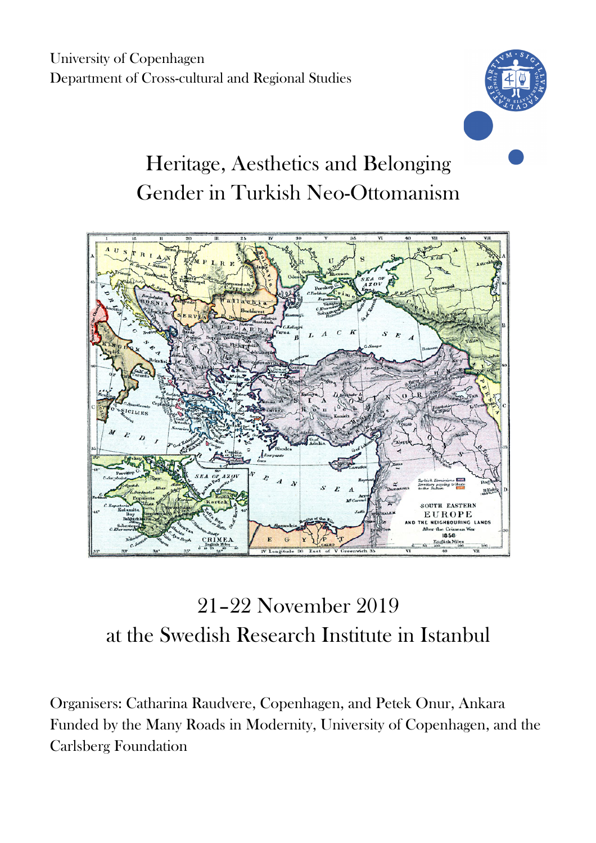University of Copenhagen Department of Cross-cultural and Regional Studies



# Heritage, Aesthetics and Belonging Gender in Turkish Neo-Ottomanism



## 21–22 November 2019 at the Swedish Research Institute in Istanbul

Organisers: Catharina Raudvere, Copenhagen, and Petek Onur, Ankara Funded by the Many Roads in Modernity, University of Copenhagen, and the Carlsberg Foundation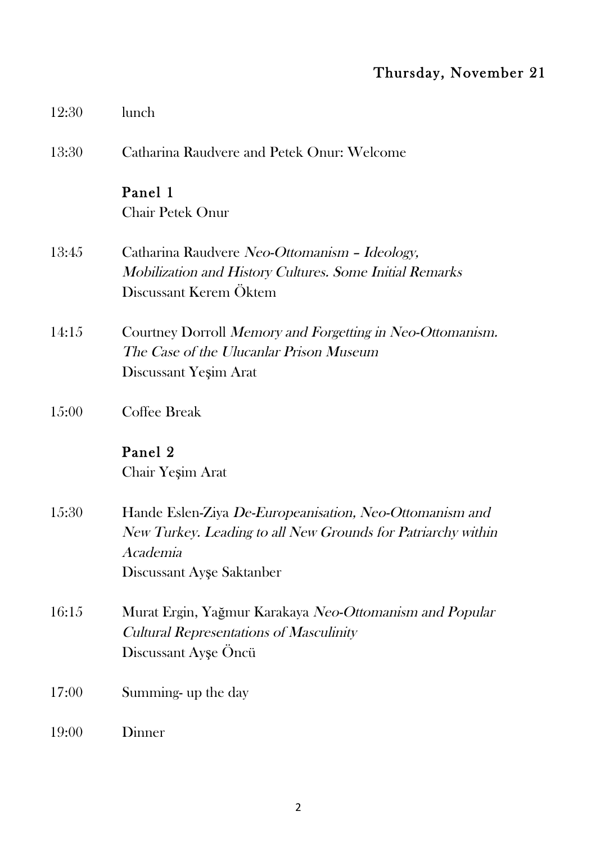### Thursday, November 21

| 12:30 | lunch                                                                                                                                                            |
|-------|------------------------------------------------------------------------------------------------------------------------------------------------------------------|
| 13:30 | Catharina Raudvere and Petek Onur: Welcome                                                                                                                       |
|       | Panel 1<br><b>Chair Petek Onur</b>                                                                                                                               |
| 13:45 | Catharina Raudvere Neo-Ottomanism - Ideology,<br>Mobilization and History Cultures. Some Initial Remarks<br>Discussant Kerem Öktem                               |
| 14:15 | Courtney Dorroll Memory and Forgetting in Neo-Ottomanism.<br>The Case of the Ulucanlar Prison Museum<br>Discussant Yeşim Arat                                    |
| 15:00 | Coffee Break                                                                                                                                                     |
|       | Panel 2<br>Chair Yeşim Arat                                                                                                                                      |
| 15:30 | Hande Eslen-Ziya De-Europeanisation, Neo-Ottomanism and<br>New Turkey. Leading to all New Grounds for Patriarchy within<br>Academia<br>Discussant Ayşe Saktanber |
| 16:15 | Murat Ergin, Yağmur Karakaya Neo-Ottomanism and Popular<br>Cultural Representations of Masculinity<br>Discussant Ayşe Öncü                                       |
| 17:00 | Summing up the day                                                                                                                                               |
| 19:00 | Dinner                                                                                                                                                           |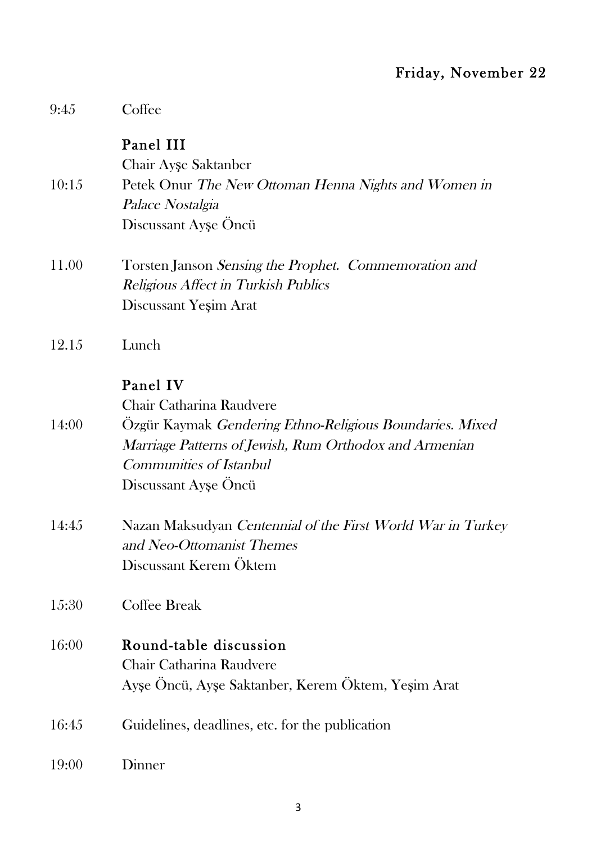### Friday, November 22

| 9:45  | Coffee                                                      |
|-------|-------------------------------------------------------------|
|       | Panel III                                                   |
|       | Chair Ayşe Saktanber                                        |
| 10:15 | Petek Onur The New Ottoman Henna Nights and Women in        |
|       | Palace Nostalgia                                            |
|       | Discussant Ayşe Oncü                                        |
| 11.00 | Torsten Janson Sensing the Prophet. Commemoration and       |
|       | <b>Religious Affect in Turkish Publics</b>                  |
|       | Discussant Yeşim Arat                                       |
| 12.15 | Lunch                                                       |
|       | Panel IV                                                    |
|       | Chair Catharina Raudvere                                    |
| 14:00 | Özgür Kaymak Gendering Ethno-Religious Boundaries. Mixed    |
|       | Marriage Patterns of Jewish, Rum Orthodox and Armenian      |
|       | Communities of Istanbul                                     |
|       | Discussant Ayşe Öncü                                        |
| 14:45 | Nazan Maksudyan Centennial of the First World War in Turkey |
|       | and Neo-Ottomanist Themes                                   |
|       | Discussant Kerem Öktem                                      |
| 15:30 | <b>Coffee Break</b>                                         |
| 16:00 | Round-table discussion                                      |
|       | Chair Catharina Raudvere                                    |
|       | Ayşe Öncü, Ayşe Saktanber, Kerem Öktem, Yeşim Arat          |
| 16:45 | Guidelines, deadlines, etc. for the publication             |
| 19:00 | Dinner                                                      |
|       |                                                             |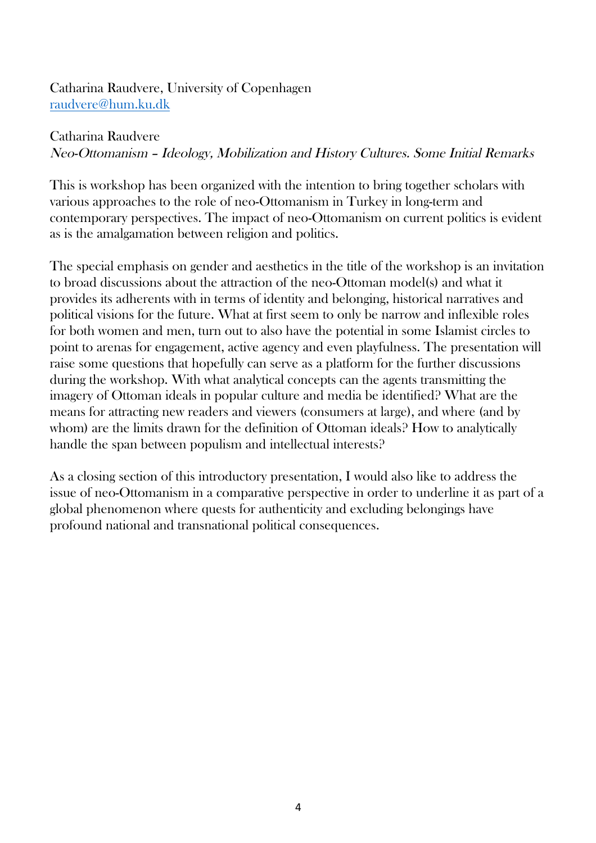Catharina Raudvere, University of Copenhagen raudvere@hum.ku.dk

#### Catharina Raudvere

Neo-Ottomanism – Ideology, Mobilization and History Cultures. Some Initial Remarks

This is workshop has been organized with the intention to bring together scholars with various approaches to the role of neo-Ottomanism in Turkey in long-term and contemporary perspectives. The impact of neo-Ottomanism on current politics is evident as is the amalgamation between religion and politics.

The special emphasis on gender and aesthetics in the title of the workshop is an invitation to broad discussions about the attraction of the neo-Ottoman model(s) and what it provides its adherents with in terms of identity and belonging, historical narratives and political visions for the future. What at first seem to only be narrow and inflexible roles for both women and men, turn out to also have the potential in some Islamist circles to point to arenas for engagement, active agency and even playfulness. The presentation will raise some questions that hopefully can serve as a platform for the further discussions during the workshop. With what analytical concepts can the agents transmitting the imagery of Ottoman ideals in popular culture and media be identified? What are the means for attracting new readers and viewers (consumers at large), and where (and by whom) are the limits drawn for the definition of Ottoman ideals? How to analytically handle the span between populism and intellectual interests?

As a closing section of this introductory presentation, I would also like to address the issue of neo-Ottomanism in a comparative perspective in order to underline it as part of a global phenomenon where quests for authenticity and excluding belongings have profound national and transnational political consequences.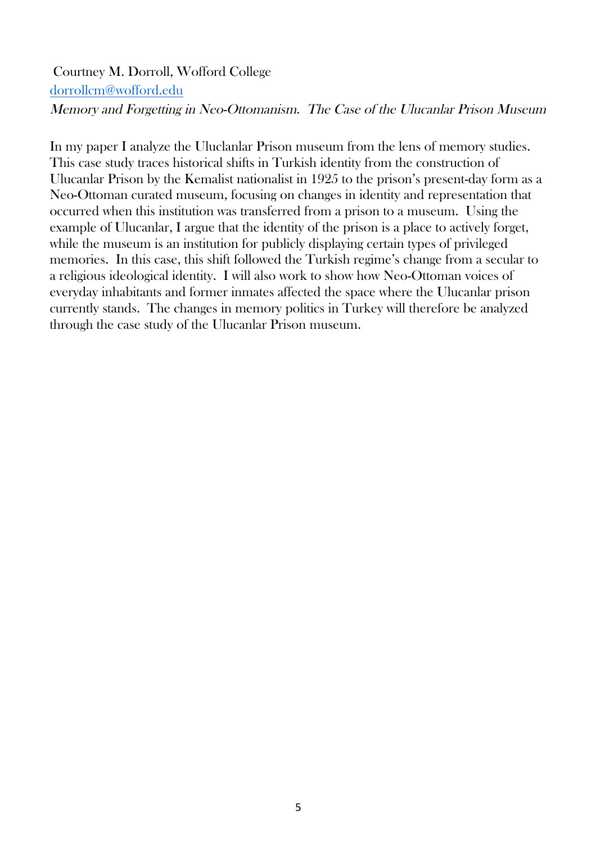#### Courtney M. Dorroll, Wofford College dorrollcm@wofford.edu Memory and Forgetting in Neo-Ottomanism. The Case of the Ulucanlar Prison Museum

In my paper I analyze the Uluclanlar Prison museum from the lens of memory studies. This case study traces historical shifts in Turkish identity from the construction of Ulucanlar Prison by the Kemalist nationalist in 1925 to the prison's present-day form as a Neo-Ottoman curated museum, focusing on changes in identity and representation that occurred when this institution was transferred from a prison to a museum. Using the example of Ulucanlar, I argue that the identity of the prison is a place to actively forget, while the museum is an institution for publicly displaying certain types of privileged memories. In this case, this shift followed the Turkish regime's change from a secular to a religious ideological identity. I will also work to show how Neo-Ottoman voices of everyday inhabitants and former inmates affected the space where the Ulucanlar prison currently stands. The changes in memory politics in Turkey will therefore be analyzed through the case study of the Ulucanlar Prison museum.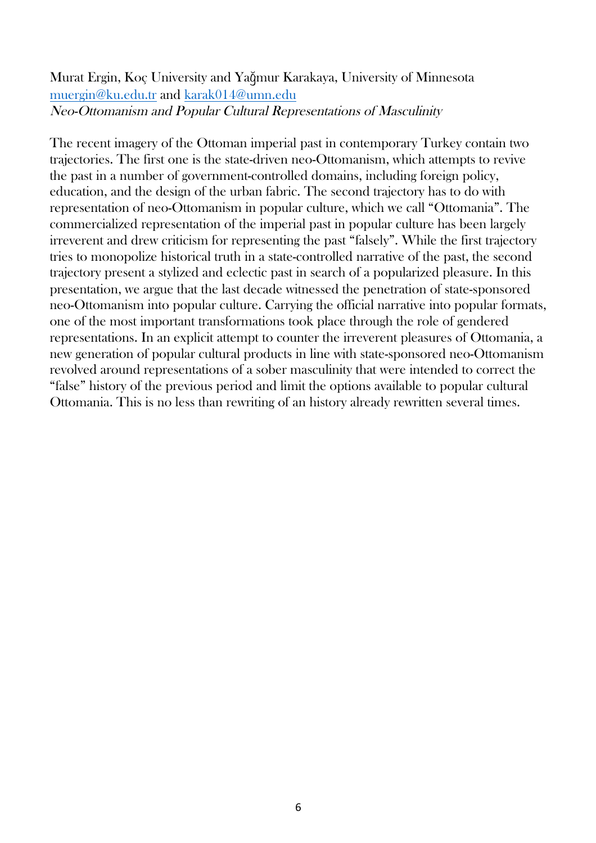#### Murat Ergin, Koç University and Yağmur Karakaya, University of Minnesota muergin@ku.edu.tr and karak014@umn.edu Neo-Ottomanism and Popular Cultural Representations of Masculinity

The recent imagery of the Ottoman imperial past in contemporary Turkey contain two trajectories. The first one is the state-driven neo-Ottomanism, which attempts to revive the past in a number of government-controlled domains, including foreign policy, education, and the design of the urban fabric. The second trajectory has to do with representation of neo-Ottomanism in popular culture, which we call "Ottomania". The commercialized representation of the imperial past in popular culture has been largely irreverent and drew criticism for representing the past "falsely". While the first trajectory tries to monopolize historical truth in a state-controlled narrative of the past, the second trajectory present a stylized and eclectic past in search of a popularized pleasure. In this presentation, we argue that the last decade witnessed the penetration of state-sponsored neo-Ottomanism into popular culture. Carrying the official narrative into popular formats, one of the most important transformations took place through the role of gendered representations. In an explicit attempt to counter the irreverent pleasures of Ottomania, a new generation of popular cultural products in line with state-sponsored neo-Ottomanism revolved around representations of a sober masculinity that were intended to correct the "false" history of the previous period and limit the options available to popular cultural Ottomania. This is no less than rewriting of an history already rewritten several times.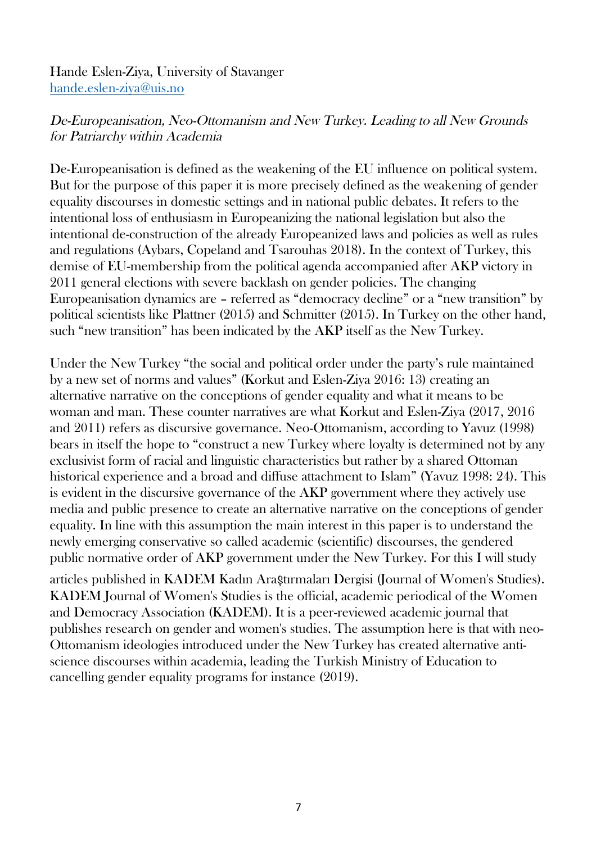Hande Eslen-Ziya, University of Stavanger hande.eslen-ziya@uis.no

#### De-Europeanisation, Neo-Ottomanism and New Turkey. Leading to all New Grounds for Patriarchy within Academia

De-Europeanisation is defined as the weakening of the EU influence on political system. But for the purpose of this paper it is more precisely defined as the weakening of gender equality discourses in domestic settings and in national public debates. It refers to the intentional loss of enthusiasm in Europeanizing the national legislation but also the intentional de-construction of the already Europeanized laws and policies as well as rules and regulations (Aybars, Copeland and Tsarouhas 2018). In the context of Turkey, this demise of EU-membership from the political agenda accompanied after AKP victory in 2011 general elections with severe backlash on gender policies. The changing Europeanisation dynamics are – referred as "democracy decline" or a "new transition" by political scientists like Plattner (2015) and Schmitter (2015). In Turkey on the other hand, such "new transition" has been indicated by the AKP itself as the New Turkey.

Under the New Turkey "the social and political order under the party's rule maintained by a new set of norms and values" (Korkut and Eslen-Ziya 2016: 13) creating an alternative narrative on the conceptions of gender equality and what it means to be woman and man. These counter narratives are what Korkut and Eslen-Ziya (2017, 2016 and 2011) refers as discursive governance. Neo-Ottomanism, according to Yavuz (1998) bears in itself the hope to "construct a new Turkey where loyalty is determined not by any exclusivist form of racial and linguistic characteristics but rather by a shared Ottoman historical experience and a broad and diffuse attachment to Islam" (Yavuz 1998: 24). This is evident in the discursive governance of the AKP government where they actively use media and public presence to create an alternative narrative on the conceptions of gender equality. In line with this assumption the main interest in this paper is to understand the newly emerging conservative so called academic (scientific) discourses, the gendered public normative order of AKP government under the New Turkey. For this I will study

articles published in KADEM Kadın Araştırmaları Dergisi (Journal of Women's Studies). KADEM Journal of Women's Studies is the official, academic periodical of the Women and Democracy Association (KADEM). It is a peer-reviewed academic journal that publishes research on gender and women's studies. The assumption here is that with neo-Ottomanism ideologies introduced under the New Turkey has created alternative antiscience discourses within academia, leading the Turkish Ministry of Education to cancelling gender equality programs for instance (2019).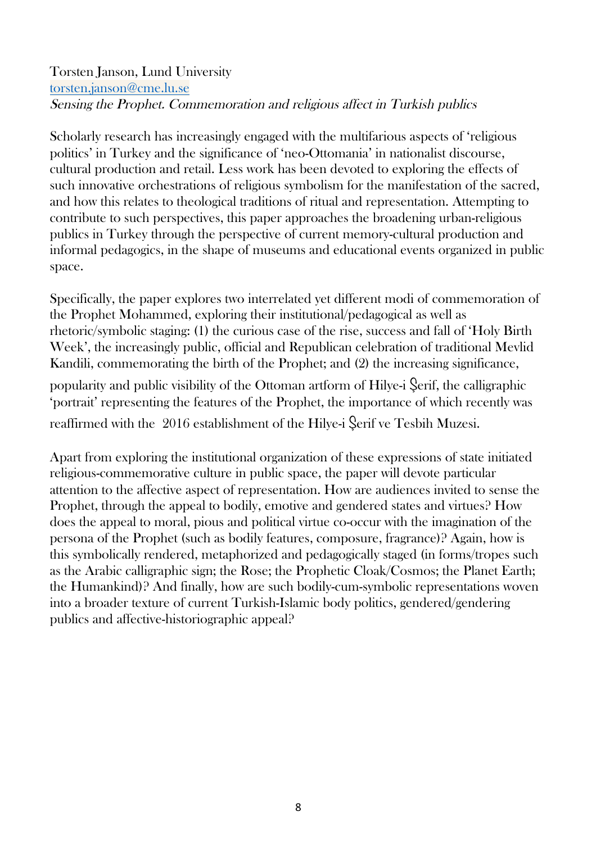#### Torsten Janson, Lund University torsten.janson@cme.lu.se Sensing the Prophet. Commemoration and religious affect in Turkish publics

Scholarly research has increasingly engaged with the multifarious aspects of 'religious politics' in Turkey and the significance of 'neo-Ottomania' in nationalist discourse, cultural production and retail. Less work has been devoted to exploring the effects of such innovative orchestrations of religious symbolism for the manifestation of the sacred, and how this relates to theological traditions of ritual and representation. Attempting to contribute to such perspectives, this paper approaches the broadening urban-religious publics in Turkey through the perspective of current memory-cultural production and informal pedagogics, in the shape of museums and educational events organized in public space.

Specifically, the paper explores two interrelated yet different modi of commemoration of the Prophet Mohammed, exploring their institutional/pedagogical as well as rhetoric/symbolic staging: (1) the curious case of the rise, success and fall of 'Holy Birth Week', the increasingly public, official and Republican celebration of traditional Mevlid Kandili, commemorating the birth of the Prophet; and (2) the increasing significance, popularity and public visibility of the Ottoman artform of Hilye-i Şerif, the calligraphic

'portrait' representing the features of the Prophet, the importance of which recently was reaffirmed with the 2016 establishment of the Hilye-i Şerif ve Tesbih Muzesi.

Apart from exploring the institutional organization of these expressions of state initiated religious-commemorative culture in public space, the paper will devote particular attention to the affective aspect of representation. How are audiences invited to sense the Prophet, through the appeal to bodily, emotive and gendered states and virtues? How does the appeal to moral, pious and political virtue co-occur with the imagination of the persona of the Prophet (such as bodily features, composure, fragrance)? Again, how is this symbolically rendered, metaphorized and pedagogically staged (in forms/tropes such as the Arabic calligraphic sign; the Rose; the Prophetic Cloak/Cosmos; the Planet Earth; the Humankind)? And finally, how are such bodily-cum-symbolic representations woven into a broader texture of current Turkish-Islamic body politics, gendered/gendering publics and affective-historiographic appeal?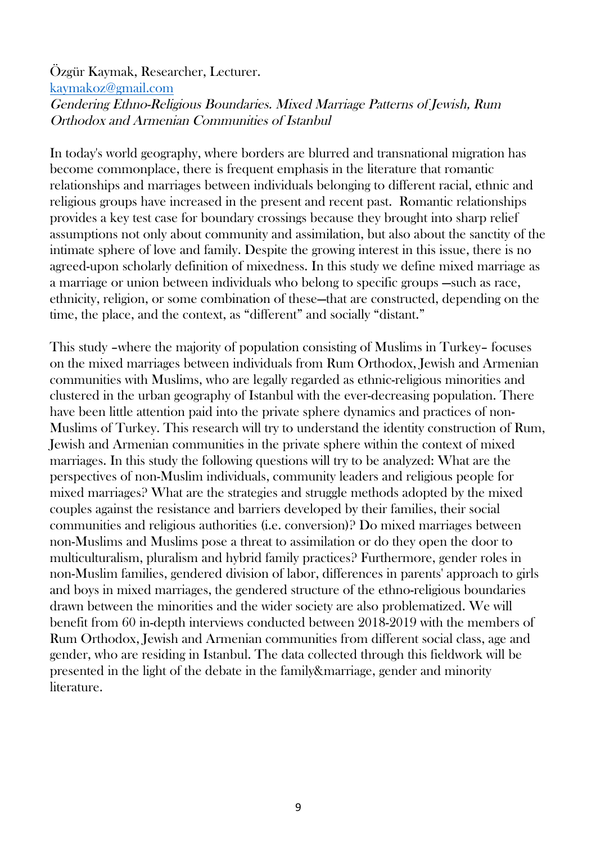#### Özgür Kaymak, Researcher, Lecturer. kaymakoz@gmail.com Gendering Ethno-Religious Boundaries. Mixed Marriage Patterns of Jewish, Rum Orthodox and Armenian Communities of Istanbul

In today's world geography, where borders are blurred and transnational migration has become commonplace, there is frequent emphasis in the literature that romantic relationships and marriages between individuals belonging to different racial, ethnic and religious groups have increased in the present and recent past. Romantic relationships provides a key test case for boundary crossings because they brought into sharp relief assumptions not only about community and assimilation, but also about the sanctity of the intimate sphere of love and family. Despite the growing interest in this issue, there is no agreed-upon scholarly definition of mixedness. In this study we define mixed marriage as a marriage or union between individuals who belong to specific groups —such as race, ethnicity, religion, or some combination of these—that are constructed, depending on the time, the place, and the context, as "different" and socially "distant."

This study –where the majority of population consisting of Muslims in Turkey– focuses on the mixed marriages between individuals from Rum Orthodox, Jewish and Armenian communities with Muslims, who are legally regarded as ethnic-religious minorities and clustered in the urban geography of Istanbul with the ever-decreasing population. There have been little attention paid into the private sphere dynamics and practices of non-Muslims of Turkey. This research will try to understand the identity construction of Rum, Jewish and Armenian communities in the private sphere within the context of mixed marriages. In this study the following questions will try to be analyzed: What are the perspectives of non-Muslim individuals, community leaders and religious people for mixed marriages? What are the strategies and struggle methods adopted by the mixed couples against the resistance and barriers developed by their families, their social communities and religious authorities (i.e. conversion)? Do mixed marriages between non-Muslims and Muslims pose a threat to assimilation or do they open the door to multiculturalism, pluralism and hybrid family practices? Furthermore, gender roles in non-Muslim families, gendered division of labor, differences in parents' approach to girls and boys in mixed marriages, the gendered structure of the ethno-religious boundaries drawn between the minorities and the wider society are also problematized. We will benefit from 60 in-depth interviews conducted between 2018-2019 with the members of Rum Orthodox, Jewish and Armenian communities from different social class, age and gender, who are residing in Istanbul. The data collected through this fieldwork will be presented in the light of the debate in the family&marriage, gender and minority literature.